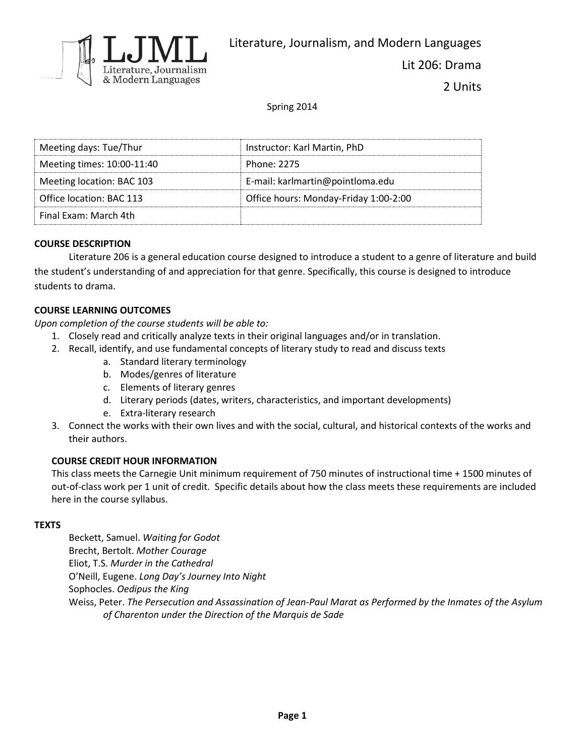

Lit 206: Drama

2 Units

Spring 2014

| Meeting days: Tue/Thur     | Instructor: Karl Martin, PhD          |
|----------------------------|---------------------------------------|
| Meeting times: 10:00-11:40 | Phone: 2275                           |
| Meeting location: BAC 103  | E-mail: karlmartin@pointloma.edu      |
| Office location: BAC 113   | Office hours: Monday-Friday 1:00-2:00 |
| Final Fxam: March 4th      |                                       |

#### **COURSE DESCRIPTION**

Literature 206 is a general education course designed to introduce a student to a genre of literature and build the student's understanding of and appreciation for that genre. Specifically, this course is designed to introduce students to drama.

### **COURSE LEARNING OUTCOMES**

*Upon completion of the course students will be able to:*

- 1. Closely read and critically analyze texts in their original languages and/or in translation.
- 2. Recall, identify, and use fundamental concepts of literary study to read and discuss texts
	- a. Standard literary terminology
	- b. Modes/genres of literature
	- c. Elements of literary genres
	- d. Literary periods (dates, writers, characteristics, and important developments)
	- e. Extra-literary research
- 3. Connect the works with their own lives and with the social, cultural, and historical contexts of the works and their authors.

#### **COURSE CREDIT HOUR INFORMATION**

This class meets the Carnegie Unit minimum requirement of 750 minutes of instructional time + 1500 minutes of out-of-class work per 1 unit of credit. Specific details about how the class meets these requirements are included here in the course syllabus.

#### **TEXTS**

Beckett, Samuel. *Waiting for Godot* Brecht, Bertolt. *Mother Courage* Eliot, T.S. *Murder in the Cathedral* O'Neill, Eugene. *Long Day's Journey Into Night* Sophocles. *Oedipus the King* Weiss, Peter. *The Persecution and Assassination of Jean-Paul Marat as Performed by the Inmates of the Asylum of Charenton under the Direction of the Marquis de Sade*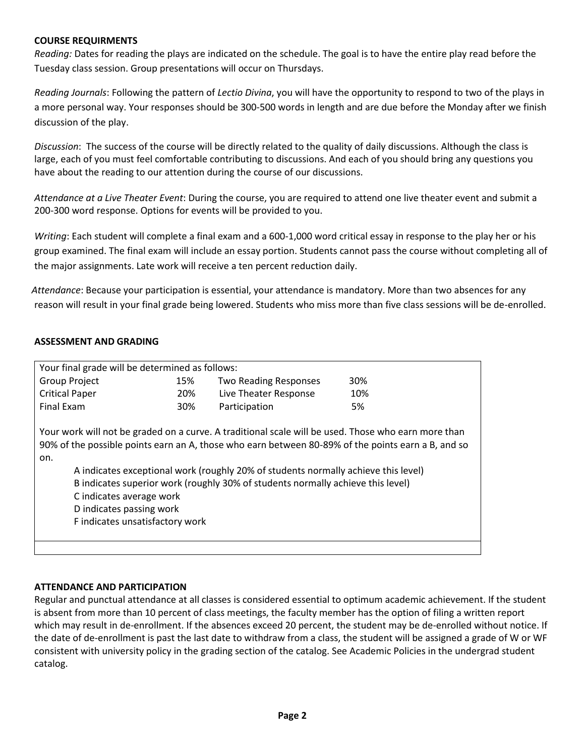#### **COURSE REQUIRMENTS**

*Reading:* Dates for reading the plays are indicated on the schedule. The goal is to have the entire play read before the Tuesday class session. Group presentations will occur on Thursdays.

*Reading Journals*: Following the pattern of *Lectio Divina*, you will have the opportunity to respond to two of the plays in a more personal way. Your responses should be 300-500 words in length and are due before the Monday after we finish discussion of the play.

*Discussion*: The success of the course will be directly related to the quality of daily discussions. Although the class is large, each of you must feel comfortable contributing to discussions. And each of you should bring any questions you have about the reading to our attention during the course of our discussions.

*Attendance at a Live Theater Event*: During the course, you are required to attend one live theater event and submit a 200-300 word response. Options for events will be provided to you.

 *Writing*: Each student will complete a final exam and a 600-1,000 word critical essay in response to the play her or his group examined. The final exam will include an essay portion. Students cannot pass the course without completing all of the major assignments. Late work will receive a ten percent reduction daily.

 *Attendance*: Because your participation is essential, your attendance is mandatory. More than two absences for any reason will result in your final grade being lowered. Students who miss more than five class sessions will be de-enrolled.

## **ASSESSMENT AND GRADING**

| Your final grade will be determined as follows:                                                                                                                                                                                                                                                                                                                                                                                                                                      |     |                              |     |  |
|--------------------------------------------------------------------------------------------------------------------------------------------------------------------------------------------------------------------------------------------------------------------------------------------------------------------------------------------------------------------------------------------------------------------------------------------------------------------------------------|-----|------------------------------|-----|--|
| <b>Group Project</b>                                                                                                                                                                                                                                                                                                                                                                                                                                                                 | 15% | <b>Two Reading Responses</b> | 30% |  |
| <b>Critical Paper</b>                                                                                                                                                                                                                                                                                                                                                                                                                                                                | 20% | Live Theater Response        | 10% |  |
| Final Exam                                                                                                                                                                                                                                                                                                                                                                                                                                                                           | 30% | Participation                | 5%  |  |
| Your work will not be graded on a curve. A traditional scale will be used. Those who earn more than<br>90% of the possible points earn an A, those who earn between 80-89% of the points earn a B, and so<br>on.<br>A indicates exceptional work (roughly 20% of students normally achieve this level)<br>B indicates superior work (roughly 30% of students normally achieve this level)<br>C indicates average work<br>D indicates passing work<br>F indicates unsatisfactory work |     |                              |     |  |
|                                                                                                                                                                                                                                                                                                                                                                                                                                                                                      |     |                              |     |  |

#### **ATTENDANCE AND PARTICIPATION**

Regular and punctual attendance at all classes is considered essential to optimum academic achievement. If the student is absent from more than 10 percent of class meetings, the faculty member has the option of filing a written report which may result in de-enrollment. If the absences exceed 20 percent, the student may be de-enrolled without notice. If the date of de-enrollment is past the last date to withdraw from a class, the student will be assigned a grade of W or WF consistent with university policy in the grading section of the catalog. See Academic Policies in the undergrad student catalog.